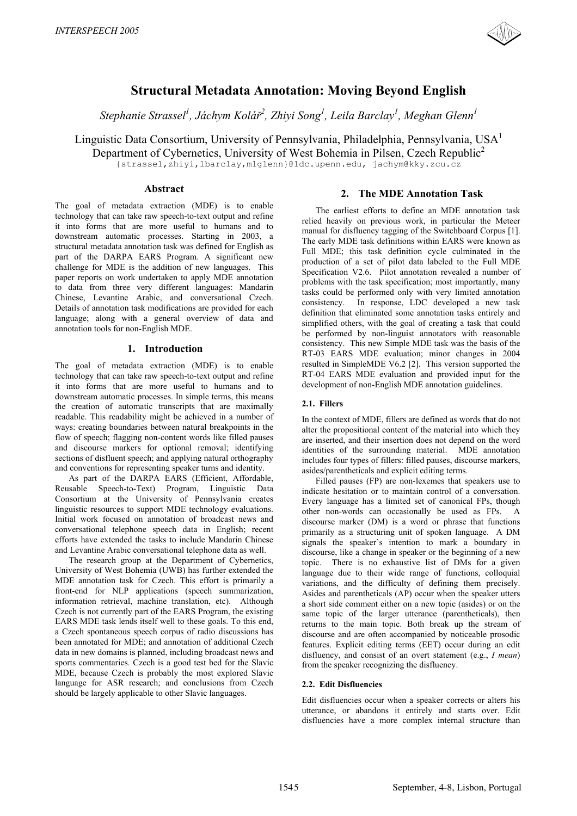

# **Structural Metadata Annotation: Moving Beyond English**

 $S$ tephanie Strassel<sup>1</sup>, Jáchym Kolář<sup>2</sup>, Zhiyi Song<sup>1</sup>, Leila Barclay<sup>1</sup>, Meghan Glenn<sup>1</sup>

Linguistic Data Consortium, University of Pennsylvania, Philadelphia, Pennsylvania, USA<sup>1</sup> Department of Cybernetics, University of West Bohemia in Pilsen, Czech Republic<sup>2</sup> {strassel,zhiyi,lbarclay,mlglenn}@ldc.upenn.edu, jachym@kky.zcu.cz

#### **Abstract**

The goal of metadata extraction (MDE) is to enable technology that can take raw speech-to-text output and refine it into forms that are more useful to humans and to downstream automatic processes. Starting in 2003, a structural metadata annotation task was defined for English as part of the DARPA EARS Program. A significant new challenge for MDE is the addition of new languages. This paper reports on work undertaken to apply MDE annotation to data from three very different languages: Mandarin Chinese, Levantine Arabic, and conversational Czech. Details of annotation task modifications are provided for each language; along with a general overview of data and annotation tools for non-English MDE.

# **1. Introduction**

The goal of metadata extraction (MDE) is to enable technology that can take raw speech-to-text output and refine it into forms that are more useful to humans and to downstream automatic processes. In simple terms, this means the creation of automatic transcripts that are maximally readable. This readability might be achieved in a number of ways: creating boundaries between natural breakpoints in the flow of speech; flagging non-content words like filled pauses and discourse markers for optional removal; identifying sections of disfluent speech; and applying natural orthography and conventions for representing speaker turns and identity.

As part of the DARPA EARS (Efficient, Affordable, Reusable Speech-to-Text) Program, Linguistic Data Consortium at the University of Pennsylvania creates linguistic resources to support MDE technology evaluations. Initial work focused on annotation of broadcast news and conversational telephone speech data in English; recent efforts have extended the tasks to include Mandarin Chinese and Levantine Arabic conversational telephone data as well.

The research group at the Department of Cybernetics, University of West Bohemia (UWB) has further extended the MDE annotation task for Czech. This effort is primarily a front-end for NLP applications (speech summarization, information retrieval, machine translation, etc). Although Czech is not currently part of the EARS Program, the existing EARS MDE task lends itself well to these goals. To this end, a Czech spontaneous speech corpus of radio discussions has been annotated for MDE; and annotation of additional Czech data in new domains is planned, including broadcast news and sports commentaries. Czech is a good test bed for the Slavic MDE, because Czech is probably the most explored Slavic language for ASR research; and conclusions from Czech should be largely applicable to other Slavic languages.

## **2. The MDE Annotation Task**

The earliest efforts to define an MDE annotation task relied heavily on previous work, in particular the Meteer manual for disfluency tagging of the Switchboard Corpus [1]. The early MDE task definitions within EARS were known as Full MDE; this task definition cycle culminated in the production of a set of pilot data labeled to the Full MDE Specification V2.6. Pilot annotation revealed a number of problems with the task specification; most importantly, many tasks could be performed only with very limited annotation consistency. In response, LDC developed a new task definition that eliminated some annotation tasks entirely and simplified others, with the goal of creating a task that could be performed by non-linguist annotators with reasonable consistency. This new Simple MDE task was the basis of the RT-03 EARS MDE evaluation; minor changes in 2004 resulted in SimpleMDE V6.2 [2]. This version supported the RT-04 EARS MDE evaluation and provided input for the development of non-English MDE annotation guidelines.

## **2.1. Fillers**

In the context of MDE, fillers are defined as words that do not alter the propositional content of the material into which they are inserted, and their insertion does not depend on the word identities of the surrounding material. MDE annotation includes four types of fillers: filled pauses, discourse markers, asides/parentheticals and explicit editing terms.

Filled pauses (FP) are non-lexemes that speakers use to indicate hesitation or to maintain control of a conversation. Every language has a limited set of canonical FPs, though other non-words can occasionally be used as FPs. A discourse marker (DM) is a word or phrase that functions primarily as a structuring unit of spoken language. A DM signals the speaker's intention to mark a boundary in discourse, like a change in speaker or the beginning of a new topic. There is no exhaustive list of DMs for a given language due to their wide range of functions, colloquial variations, and the difficulty of defining them precisely. Asides and parentheticals (AP) occur when the speaker utters a short side comment either on a new topic (asides) or on the same topic of the larger utterance (parentheticals), then returns to the main topic. Both break up the stream of discourse and are often accompanied by noticeable prosodic features. Explicit editing terms (EET) occur during an edit disfluency, and consist of an overt statement (e.g., *I mean*) from the speaker recognizing the disfluency.

# **2.2. Edit Disfluencies**

Edit disfluencies occur when a speaker corrects or alters his utterance, or abandons it entirely and starts over. Edit disfluencies have a more complex internal structure than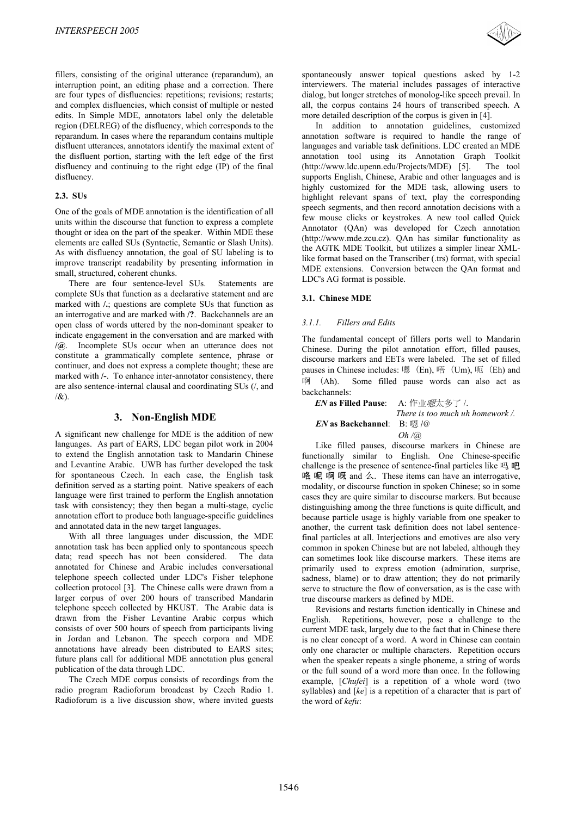fillers, consisting of the original utterance (reparandum), an interruption point, an editing phase and a correction. There are four types of disfluencies: repetitions; revisions; restarts; and complex disfluencies, which consist of multiple or nested edits. In Simple MDE, annotators label only the deletable region (DELREG) of the disfluency, which corresponds to the reparandum. In cases where the reparandum contains multiple disfluent utterances, annotators identify the maximal extent of the disfluent portion, starting with the left edge of the first disfluency and continuing to the right edge (IP) of the final disfluency.

#### **2.3. SUs**

One of the goals of MDE annotation is the identification of all units within the discourse that function to express a complete thought or idea on the part of the speaker. Within MDE these elements are called SUs (Syntactic, Semantic or Slash Units). As with disfluency annotation, the goal of SU labeling is to improve transcript readability by presenting information in small, structured, coherent chunks.

There are four sentence-level SUs. Statements are complete SUs that function as a declarative statement and are marked with **/.**; questions are complete SUs that function as an interrogative and are marked with **/?**. Backchannels are an open class of words uttered by the non-dominant speaker to indicate engagement in the conversation and are marked with **/@**. Incomplete SUs occur when an utterance does not constitute a grammatically complete sentence, phrase or continuer, and does not express a complete thought; these are marked with **/-**. To enhance inter-annotator consistency, there are also sentence-internal clausal and coordinating SUs (/, and  $/$ &

# **3. Non-English MDE**

A significant new challenge for MDE is the addition of new languages. As part of EARS, LDC began pilot work in 2004 to extend the English annotation task to Mandarin Chinese and Levantine Arabic. UWB has further developed the task for spontaneous Czech. In each case, the English task definition served as a starting point. Native speakers of each language were first trained to perform the English annotation task with consistency; they then began a multi-stage, cyclic annotation effort to produce both language-specific guidelines and annotated data in the new target languages.

With all three languages under discussion, the MDE annotation task has been applied only to spontaneous speech data; read speech has not been considered. The data annotated for Chinese and Arabic includes conversational telephone speech collected under LDC's Fisher telephone collection protocol [3]. The Chinese calls were drawn from a larger corpus of over 200 hours of transcribed Mandarin telephone speech collected by HKUST. The Arabic data is drawn from the Fisher Levantine Arabic corpus which consists of over 500 hours of speech from participants living in Jordan and Lebanon. The speech corpora and MDE annotations have already been distributed to EARS sites; future plans call for additional MDE annotation plus general publication of the data through LDC.

The Czech MDE corpus consists of recordings from the radio program Radioforum broadcast by Czech Radio 1. Radioforum is a live discussion show, where invited guests spontaneously answer topical questions asked by 1-2 interviewers. The material includes passages of interactive dialog, but longer stretches of monolog-like speech prevail. In all, the corpus contains 24 hours of transcribed speech. A more detailed description of the corpus is given in [4].

In addition to annotation guidelines, customized annotation software is required to handle the range of languages and variable task definitions. LDC created an MDE annotation tool using its Annotation Graph Toolkit (http://www.ldc.upenn.edu/Projects/MDE) [5]. The tool supports English, Chinese, Arabic and other languages and is highly customized for the MDE task, allowing users to highlight relevant spans of text, play the corresponding speech segments, and then record annotation decisions with a few mouse clicks or keystrokes. A new tool called Quick Annotator (QAn) was developed for Czech annotation (http://www.mde.zcu.cz). QAn has similar functionality as the AGTK MDE Toolkit, but utilizes a simpler linear XMLlike format based on the Transcriber (.trs) format, with special MDE extensions. Conversion between the QAn format and LDC's AG format is possible.

## **3.1. Chinese MDE**

## *3.1.1. Fillers and Edits*

The fundamental concept of fillers ports well to Mandarin Chinese. During the pilot annotation effort, filled pauses, discourse markers and EETs were labeled. The set of filled pauses in Chinese includes: 嗯 (En), 唔 (Um), 呃 (Eh) and 啊 ( Some filled pause words can also act as backchannels:

#### *EN* as Filled Pause: A: 作业*嗯*太多了 /.  *There is too much uh homework /. EN* as Backchannel: B: 嗯 /@ *Oh /@*

Like filled pauses, discourse markers in Chinese are functionally similar to English. One Chinese-specific challenge is the presence of sentence-final particles like  $\mathbb{F}_4$   $\mathbb{F}_6$ 咯 呢 啊 呀 and 么. These items can have an interrogative, modality, or discourse function in spoken Chinese; so in some cases they are quire similar to discourse markers. But because distinguishing among the three functions is quite difficult, and because particle usage is highly variable from one speaker to another, the current task definition does not label sentencefinal particles at all. Interjections and emotives are also very common in spoken Chinese but are not labeled, although they can sometimes look like discourse markers. These items are primarily used to express emotion (admiration, surprise, sadness, blame) or to draw attention; they do not primarily serve to structure the flow of conversation, as is the case with true discourse markers as defined by MDE.

Revisions and restarts function identically in Chinese and English. Repetitions, however, pose a challenge to the current MDE task, largely due to the fact that in Chinese there is no clear concept of a word. A word in Chinese can contain only one character or multiple characters. Repetition occurs when the speaker repeats a single phoneme, a string of words or the full sound of a word more than once. In the following example, [*Chufei*] is a repetition of a whole word (two syllables) and [*ke*] is a repetition of a character that is part of the word of *kefu*: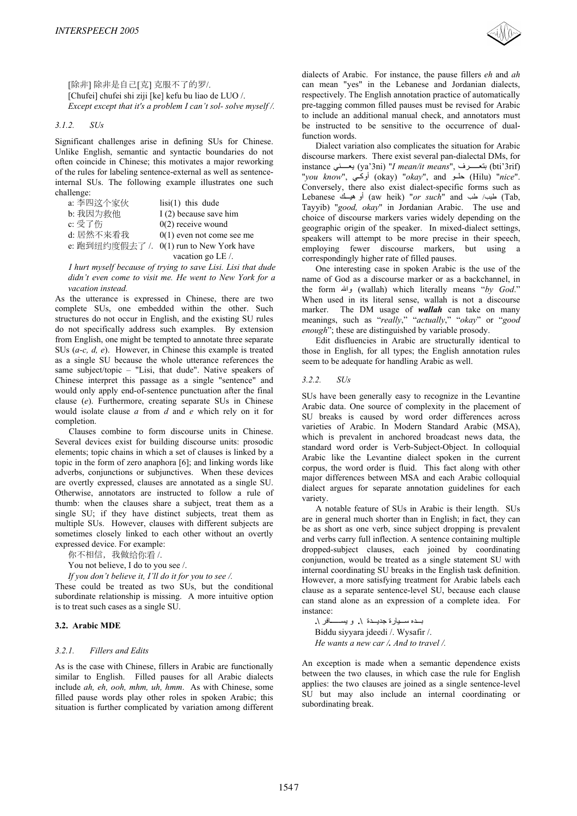

[除非] 除非是自己[克] 克服不了的罗/. [Chufei] chufei shi ziji [ke] kefu bu liao de LUO /. *Except except that it's a problem I can't sol- solve myself /.* 

#### *3.1.2. SUs*

Significant challenges arise in defining SUs for Chinese. Unlike English, semantic and syntactic boundaries do not often coincide in Chinese; this motivates a major reworking of the rules for labeling sentence-external as well as sentenceinternal SUs. The following example illustrates one such challenge:

| a: 李四这个家伙      | $lisi(1)$ this dude         |
|----------------|-----------------------------|
| b: 我因为救他       | I (2) because save him      |
| c: 受了伤         | $0(2)$ receive wound        |
| d: 居然不来看我      | $0(1)$ even not come see me |
| e: 跑到纽约度假去了 /. | $0(1)$ run to New York have |
|                | vacation go LE /.           |

*I hurt myself because of trying to save Lisi. Lisi that dude didn't even come to visit me. He went to New York for a vacation instead.* 

As the utterance is expressed in Chinese, there are two complete SUs, one embedded within the other. Such structures do not occur in English, and the existing SU rules do not specifically address such examples. By extension from English, one might be tempted to annotate three separate SUs (*a-c, d, e*). However, in Chinese this example is treated as a single SU because the whole utterance references the same subject/topic – "Lisi, that dude". Native speakers of Chinese interpret this passage as a single "sentence" and would only apply end-of-sentence punctuation after the final clause (*e*). Furthermore, creating separate SUs in Chinese would isolate clause *a* from *d* and *e* which rely on it for completion.

Clauses combine to form discourse units in Chinese. Several devices exist for building discourse units: prosodic elements; topic chains in which a set of clauses is linked by a topic in the form of zero anaphora [6]; and linking words like adverbs, conjunctions or subjunctives. When these devices are overtly expressed, clauses are annotated as a single SU. Otherwise, annotators are instructed to follow a rule of thumb: when the clauses share a subject, treat them as a single SU; if they have distinct subjects, treat them as multiple SUs. However, clauses with different subjects are sometimes closely linked to each other without an overtly expressed device. For example:

你不相信,我做给你看 /.

You not believe, I do to you see /.

*If you don't believe it, I'll do it for you to see /.*

These could be treated as two SUs, but the conditional subordinate relationship is missing. A more intuitive option is to treat such cases as a single SU.

### **3.2. Arabic MDE**

#### *3.2.1. Fillers and Edits*

As is the case with Chinese, fillers in Arabic are functionally similar to English. Filled pauses for all Arabic dialects include *ah, eh, ooh, mhm, uh, hmm*. As with Chinese, some filled pause words play other roles in spoken Arabic; this situation is further complicated by variation among different

dialects of Arabic. For instance, the pause fillers *eh* and *ah* can mean "yes" in the Lebanese and Jordanian dialects, respectively. The English annotation practice of automatically pre-tagging common filled pauses must be revised for Arabic to include an additional manual check, and annotators must be instructed to be sensitive to the occurrence of dualfunction words.

Dialect variation also complicates the situation for Arabic discourse markers. There exist several pan-dialectal DMs, for instance ϲϨѧѧѧѧѧѧѧόϳ (ya'3ni) "*I mean/it means*", ϑήѧѧѧѧѧѧѧѧѧόΘΑ (bti'3rif) "*you know*", (okay) "*okay*", and حلو (Hilu) "*nice*". Conversely, there also exist dialect-specific forms such as Lebanese (و هيسك aw heik) "*or such*" and أو هيسك (Tab Tayyib) "*good, okay*" in Jordanian Arabic. The use and choice of discourse markers varies widely depending on the geographic origin of the speaker. In mixed-dialect settings, speakers will attempt to be more precise in their speech, employing fewer discourse markers, but using a correspondingly higher rate of filled pauses.

One interesting case in spoken Arabic is the use of the name of God as a discourse marker or as a backchannel, in the form والله (wallah) which literally means "by God." When used in its literal sense, wallah is not a discourse marker. The DM usage of *wallah* can take on many meanings, such as "*really*," "*actually*," "*okay*" or "*good enough*"; these are distinguished by variable prosody.

Edit disfluencies in Arabic are structurally identical to those in English, for all types; the English annotation rules seem to be adequate for handling Arabic as well.

#### *3.2.2. SUs*

SUs have been generally easy to recognize in the Levantine Arabic data. One source of complexity in the placement of SU breaks is caused by word order differences across varieties of Arabic. In Modern Standard Arabic (MSA), which is prevalent in anchored broadcast news data, the standard word order is Verb-Subject-Object. In colloquial Arabic like the Levantine dialect spoken in the current corpus, the word order is fluid. This fact along with other major differences between MSA and each Arabic colloquial dialect argues for separate annotation guidelines for each variety.

A notable feature of SUs in Arabic is their length. SUs are in general much shorter than in English; in fact, they can be as short as one verb, since subject dropping is prevalent and verbs carry full inflection. A sentence containing multiple dropped-subject clauses, each joined by coordinating conjunction, would be treated as a single statement SU with internal coordinating SU breaks in the English task definition. However, a more satisfying treatment for Arabic labels each clause as a separate sentence-level SU, because each clause can stand alone as an expression of a complete idea. For instance:

بده سيارة جديدة ١. ويسـافر ١. Biddu siyyara jdeedi /. Wysafir /. *He wants a new car /. And to travel /.*

An exception is made when a semantic dependence exists between the two clauses, in which case the rule for English applies: the two clauses are joined as a single sentence-level SU but may also include an internal coordinating or subordinating break.